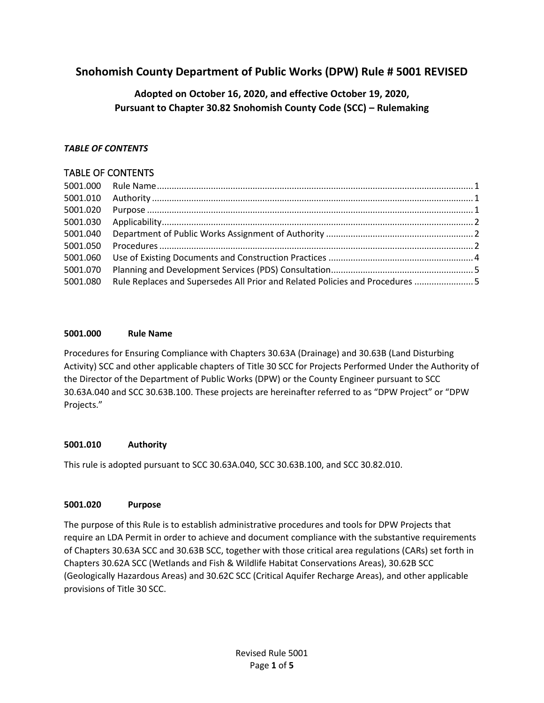# **Snohomish County Department of Public Works (DPW) Rule # 5001 REVISED**

# **Adopted on October 16, 2020, and effective October 19, 2020, Pursuant to Chapter 30.82 Snohomish County Code (SCC) – Rulemaking**

### *TABLE OF CONTENTS*

## TABLE OF CONTENTS

| 5001.000 |                                                                              |  |
|----------|------------------------------------------------------------------------------|--|
| 5001.010 |                                                                              |  |
| 5001.020 |                                                                              |  |
| 5001.030 |                                                                              |  |
| 5001.040 |                                                                              |  |
| 5001.050 |                                                                              |  |
| 5001.060 |                                                                              |  |
| 5001.070 |                                                                              |  |
| 5001.080 | Rule Replaces and Supersedes All Prior and Related Policies and Procedures 5 |  |
|          |                                                                              |  |

#### <span id="page-0-0"></span>**5001.000 Rule Name**

Procedures for Ensuring Compliance with Chapters 30.63A (Drainage) and 30.63B (Land Disturbing Activity) SCC and other applicable chapters of Title 30 SCC for Projects Performed Under the Authority of the Director of the Department of Public Works (DPW) or the County Engineer pursuant to SCC 30.63A.040 and SCC 30.63B.100. These projects are hereinafter referred to as "DPW Project" or "DPW Projects."

### <span id="page-0-1"></span>**5001.010 Authority**

This rule is adopted pursuant to SCC 30.63A.040, SCC 30.63B.100, and SCC 30.82.010.

### <span id="page-0-2"></span>**5001.020 Purpose**

The purpose of this Rule is to establish administrative procedures and tools for DPW Projects that require an LDA Permit in order to achieve and document compliance with the substantive requirements of Chapters 30.63A SCC and 30.63B SCC, together with those critical area regulations (CARs) set forth in Chapters 30.62A SCC (Wetlands and Fish & Wildlife Habitat Conservations Areas), 30.62B SCC (Geologically Hazardous Areas) and 30.62C SCC (Critical Aquifer Recharge Areas), and other applicable provisions of Title 30 SCC.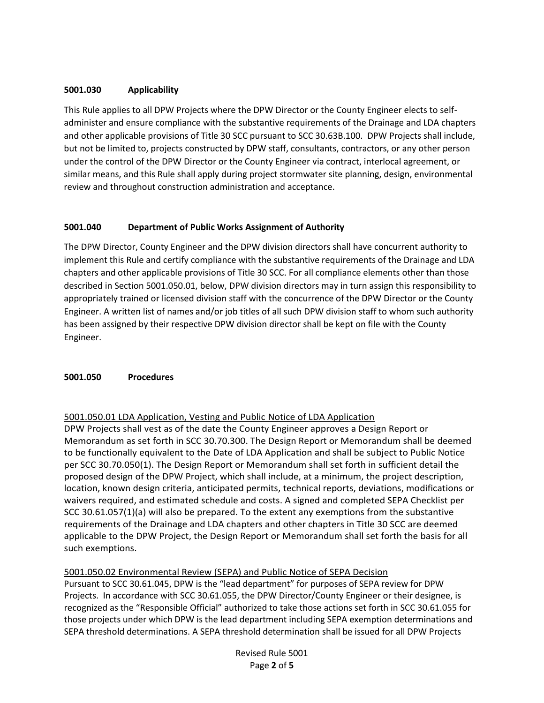### <span id="page-1-0"></span>**5001.030 Applicability**

This Rule applies to all DPW Projects where the DPW Director or the County Engineer elects to selfadminister and ensure compliance with the substantive requirements of the Drainage and LDA chapters and other applicable provisions of Title 30 SCC pursuant to SCC 30.63B.100. DPW Projects shall include, but not be limited to, projects constructed by DPW staff, consultants, contractors, or any other person under the control of the DPW Director or the County Engineer via contract, interlocal agreement, or similar means, and this Rule shall apply during project stormwater site planning, design, environmental review and throughout construction administration and acceptance.

#### <span id="page-1-1"></span>**5001.040 Department of Public Works Assignment of Authority**

The DPW Director, County Engineer and the DPW division directors shall have concurrent authority to implement this Rule and certify compliance with the substantive requirements of the Drainage and LDA chapters and other applicable provisions of Title 30 SCC. For all compliance elements other than those described in Section 5001.050.01, below, DPW division directors may in turn assign this responsibility to appropriately trained or licensed division staff with the concurrence of the DPW Director or the County Engineer. A written list of names and/or job titles of all such DPW division staff to whom such authority has been assigned by their respective DPW division director shall be kept on file with the County Engineer.

#### <span id="page-1-2"></span>**5001.050 Procedures**

#### 5001.050.01 LDA Application, Vesting and Public Notice of LDA Application

DPW Projects shall vest as of the date the County Engineer approves a Design Report or Memorandum as set forth in SCC 30.70.300. The Design Report or Memorandum shall be deemed to be functionally equivalent to the Date of LDA Application and shall be subject to Public Notice per SCC 30.70.050(1). The Design Report or Memorandum shall set forth in sufficient detail the proposed design of the DPW Project, which shall include, at a minimum, the project description, location, known design criteria, anticipated permits, technical reports, deviations, modifications or waivers required, and estimated schedule and costs. A signed and completed SEPA Checklist per SCC 30.61.057(1)(a) will also be prepared. To the extent any exemptions from the substantive requirements of the Drainage and LDA chapters and other chapters in Title 30 SCC are deemed applicable to the DPW Project, the Design Report or Memorandum shall set forth the basis for all such exemptions.

#### 5001.050.02 Environmental Review (SEPA) and Public Notice of SEPA Decision

Pursuant to SCC 30.61.045, DPW is the "lead department" for purposes of SEPA review for DPW Projects. In accordance with SCC 30.61.055, the DPW Director/County Engineer or their designee, is recognized as the "Responsible Official" authorized to take those actions set forth in SCC 30.61.055 for those projects under which DPW is the lead department including SEPA exemption determinations and SEPA threshold determinations. A SEPA threshold determination shall be issued for all DPW Projects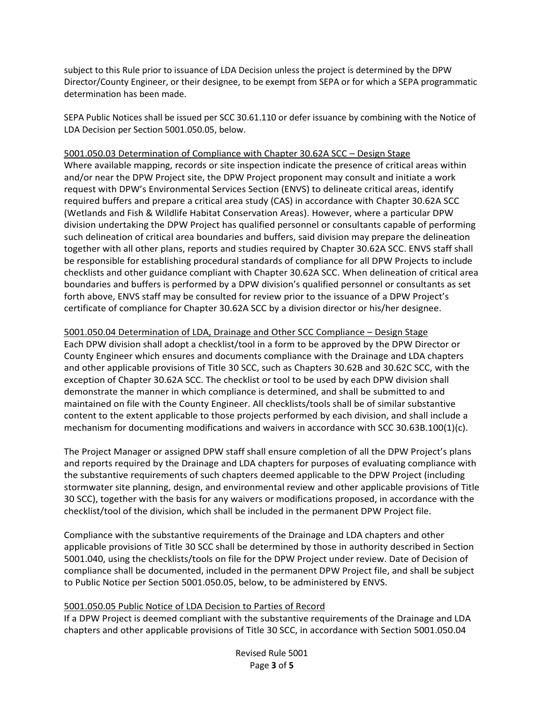subject to this Rule prior to issuance of LDA Decision unless the project is determined by the DPW Director/County Engineer, or their designee, to be exempt from SEPA or for which a SEPA programmatic determination has been made.

SEPA Public Notices shall be issued per SCC 30.61.110 or defer issuance by combining with the Notice of LDA Decision per Section 5001.050.05, below.

5001.050.03 Determination of Compliance with Chapter 30.62A SCC – Design Stage

Where available mapping, records or site inspection indicate the presence of critical areas within and/or near the DPW Project site, the DPW Project proponent may consult and initiate a work request with DPW's Environmental Services Section (ENVS) to delineate critical areas, identify required buffers and prepare a critical area study (CAS) in accordance with Chapter 30.62A SCC (Wetlands and Fish & Wildlife Habitat Conservation Areas). However, where a particular DPW division undertaking the DPW Project has qualified personnel or consultants capable of performing such delineation of critical area boundaries and buffers, said division may prepare the delineation together with all other plans, reports and studies required by Chapter 30.62A SCC. ENVS staff shall be responsible for establishing procedural standards of compliance for all DPW Projects to include checklists and other guidance compliant with Chapter 30.62A SCC. When delineation of critical area boundaries and buffers is performed by a DPW division's qualified personnel or consultants as set forth above, ENVS staff may be consulted for review prior to the issuance of a DPW Project's certificate of compliance for Chapter 30.62A SCC by a division director or his/her designee.

5001.050.04 Determination of LDA, Drainage and Other SCC Compliance – Design Stage Each DPW division shall adopt a checklist/tool in a form to be approved by the DPW Director or County Engineer which ensures and documents compliance with the Drainage and LDA chapters and other applicable provisions of Title 30 SCC, such as Chapters 30.62B and 30.62C SCC, with the exception of Chapter 30.62A SCC. The checklist or tool to be used by each DPW division shall demonstrate the manner in which compliance is determined, and shall be submitted to and maintained on file with the County Engineer. All checklists/tools shall be of similar substantive content to the extent applicable to those projects performed by each division, and shall include a mechanism for documenting modifications and waivers in accordance with SCC 30.63B.100(1)(c).

The Project Manager or assigned DPW staff shall ensure completion of all the DPW Project's plans and reports required by the Drainage and LDA chapters for purposes of evaluating compliance with the substantive requirements of such chapters deemed applicable to the DPW Project (including stormwater site planning, design, and environmental review and other applicable provisions of Title 30 SCC), together with the basis for any waivers or modifications proposed, in accordance with the checklist/tool of the division, which shall be included in the permanent DPW Project file.

Compliance with the substantive requirements of the Drainage and LDA chapters and other applicable provisions of Title 30 SCC shall be determined by those in authority described in Section 5001.040, using the checklists/tools on file for the DPW Project under review. Date of Decision of compliance shall be documented, included in the permanent DPW Project file, and shall be subject to Public Notice per Section 5001.050.05, below, to be administered by ENVS.

#### 5001.050.05 Public Notice of LDA Decision to Parties of Record

If a DPW Project is deemed compliant with the substantive requirements of the Drainage and LDA chapters and other applicable provisions of Title 30 SCC, in accordance with Section 5001.050.04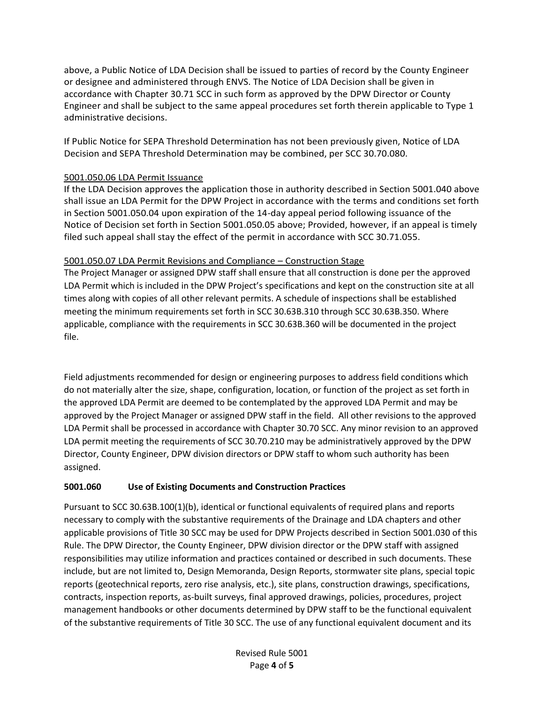above, a Public Notice of LDA Decision shall be issued to parties of record by the County Engineer or designee and administered through ENVS. The Notice of LDA Decision shall be given in accordance with Chapter 30.71 SCC in such form as approved by the DPW Director or County Engineer and shall be subject to the same appeal procedures set forth therein applicable to Type 1 administrative decisions.

If Public Notice for SEPA Threshold Determination has not been previously given, Notice of LDA Decision and SEPA Threshold Determination may be combined, per SCC 30.70.080.

## 5001.050.06 LDA Permit Issuance

If the LDA Decision approves the application those in authority described in Section 5001.040 above shall issue an LDA Permit for the DPW Project in accordance with the terms and conditions set forth in Section 5001.050.04 upon expiration of the 14-day appeal period following issuance of the Notice of Decision set forth in Section 5001.050.05 above; Provided, however, if an appeal is timely filed such appeal shall stay the effect of the permit in accordance with SCC 30.71.055.

### 5001.050.07 LDA Permit Revisions and Compliance – Construction Stage

The Project Manager or assigned DPW staff shall ensure that all construction is done per the approved LDA Permit which is included in the DPW Project's specifications and kept on the construction site at all times along with copies of all other relevant permits. A schedule of inspections shall be established meeting the minimum requirements set forth in SCC 30.63B.310 through SCC 30.63B.350. Where applicable, compliance with the requirements in SCC 30.63B.360 will be documented in the project file.

Field adjustments recommended for design or engineering purposes to address field conditions which do not materially alter the size, shape, configuration, location, or function of the project as set forth in the approved LDA Permit are deemed to be contemplated by the approved LDA Permit and may be approved by the Project Manager or assigned DPW staff in the field. All other revisions to the approved LDA Permit shall be processed in accordance with Chapter 30.70 SCC. Any minor revision to an approved LDA permit meeting the requirements of SCC 30.70.210 may be administratively approved by the DPW Director, County Engineer, DPW division directors or DPW staff to whom such authority has been assigned.

## <span id="page-3-0"></span>**5001.060 Use of Existing Documents and Construction Practices**

Pursuant to SCC 30.63B.100(1)(b), identical or functional equivalents of required plans and reports necessary to comply with the substantive requirements of the Drainage and LDA chapters and other applicable provisions of Title 30 SCC may be used for DPW Projects described in Section 5001.030 of this Rule. The DPW Director, the County Engineer, DPW division director or the DPW staff with assigned responsibilities may utilize information and practices contained or described in such documents. These include, but are not limited to, Design Memoranda, Design Reports, stormwater site plans, special topic reports (geotechnical reports, zero rise analysis, etc.), site plans, construction drawings, specifications, contracts, inspection reports, as-built surveys, final approved drawings, policies, procedures, project management handbooks or other documents determined by DPW staff to be the functional equivalent of the substantive requirements of Title 30 SCC. The use of any functional equivalent document and its